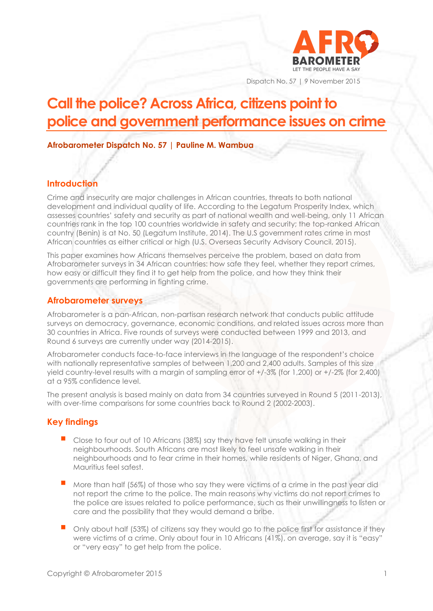

Dispatch No. 57 | 9 November 2015

# **Call the police? Across Africa, citizens point to police and government performance issues on crime**

**Afrobarometer Dispatch No. 57 | Pauline M. Wambua**

## **Introduction**

Crime and insecurity are major challenges in African countries, threats to both national development and individual quality of life. According to the Legatum Prosperity Index, which assesses countries' safety and security as part of national wealth and well-being, only 11 African countries rank in the top 100 countries worldwide in safety and security; the top-ranked African country (Benin) is at No. 50 (Legatum Institute, 2014). The U.S government rates crime in most African countries as either critical or high (U.S. Overseas Security Advisory Council, 2015).

This paper examines how Africans themselves perceive the problem, based on data from Afrobarometer surveys in 34 African countries: how safe they feel, whether they report crimes, how easy or difficult they find it to get help from the police, and how they think their governments are performing in fighting crime.

#### **Afrobarometer surveys**

Afrobarometer is a pan-African, non-partisan research network that conducts public attitude surveys on democracy, governance, economic conditions, and related issues across more than 30 countries in Africa. Five rounds of surveys were conducted between 1999 and 2013, and Round 6 surveys are currently under way (2014-2015).

Afrobarometer conducts face-to-face interviews in the language of the respondent's choice with nationally representative samples of between 1,200 and 2,400 adults. Samples of this size yield country-level results with a margin of sampling error of +/-3% (for 1,200) or +/-2% (for 2,400) at a 95% confidence level.

The present analysis is based mainly on data from 34 countries surveyed in Round 5 (2011-2013), with over-time comparisons for some countries back to Round 2 (2002-2003).

# **Key findings**

- Close to four out of 10 Africans (38%) say they have felt unsafe walking in their neighbourhoods. South Africans are most likely to feel unsafe walking in their neighbourhoods and to fear crime in their homes, while residents of Niger, Ghana, and Mauritius feel safest.
- More than half (56%) of those who say they were victims of a crime in the past year did not report the crime to the police. The main reasons why victims do not report crimes to the police are issues related to police performance, such as their unwillingness to listen or care and the possibility that they would demand a bribe.
- Only about half (53%) of citizens say they would go to the police first for assistance if they were victims of a crime. Only about four in 10 Africans (41%), on average, say it is "easy" or "very easy" to get help from the police.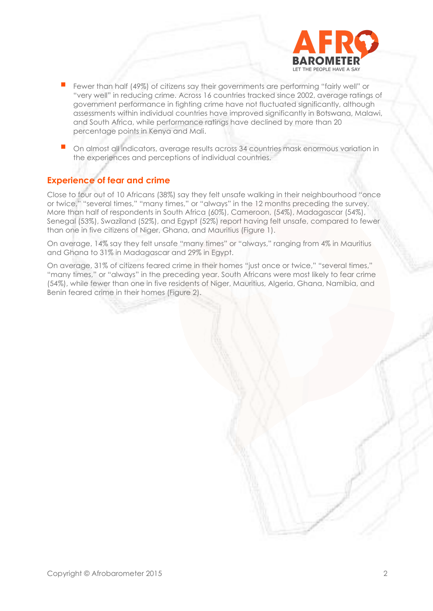

- Fewer than half (49%) of citizens say their governments are performing "fairly well" or "very well" in reducing crime. Across 16 countries tracked since 2002, average ratings of government performance in fighting crime have not fluctuated significantly, although assessments within individual countries have improved significantly in Botswana, Malawi, and South Africa, while performance ratings have declined by more than 20 percentage points in Kenya and Mali.
- On almost all indicators, average results across 34 countries mask enormous variation in the experiences and perceptions of individual countries.

### **Experience of fear and crime**

Close to four out of 10 Africans (38%) say they felt unsafe walking in their neighbourhood "once or twice," "several times," "many times," or "always" in the 12 months preceding the survey. More than half of respondents in South Africa (60%), Cameroon, (54%), Madagascar (54%), Senegal (53%), Swaziland (52%), and Egypt (52%) report having felt unsafe, compared to fewer than one in five citizens of Niger, Ghana, and Mauritius (Figure 1).

On average, 14% say they felt unsafe "many times" or "always," ranging from 4% in Mauritius and Ghana to 31% in Madagascar and 29% in Egypt.

On average, 31% of citizens feared crime in their homes "just once or twice," "several times," "many times," or "always" in the preceding year. South Africans were most likely to fear crime (54%), while fewer than one in five residents of Niger, Mauritius, Algeria, Ghana, Namibia, and Benin feared crime in their homes (Figure 2).

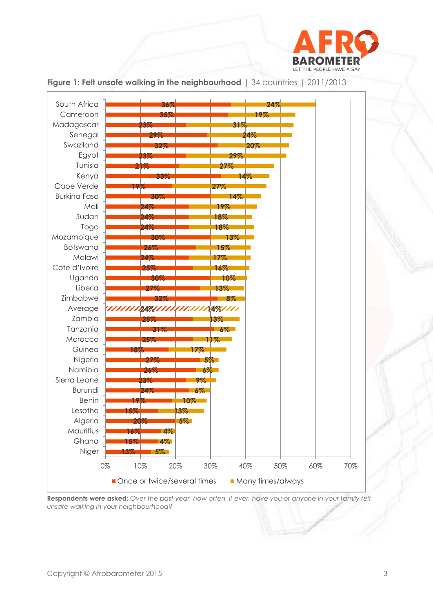



#### **Figure 1: Felt unsafe walking in the neighbourhood** | 34 countries | 2011/2013

**Respondents were asked:** *Over the past year, how often, if ever, have you or anyone in your family felt unsafe walking in your neighbourhood?*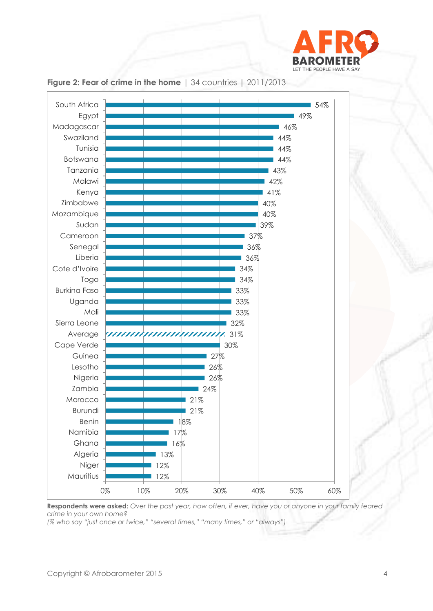



**Figure 2: Fear of crime in the home** | 34 countries | 2011/2013

**Respondents were asked:** *Over the past year, how often, if ever, have you or anyone in your family feared crime in your own home?*

*(% who say "just once or twice," "several times," "many times," or "always")*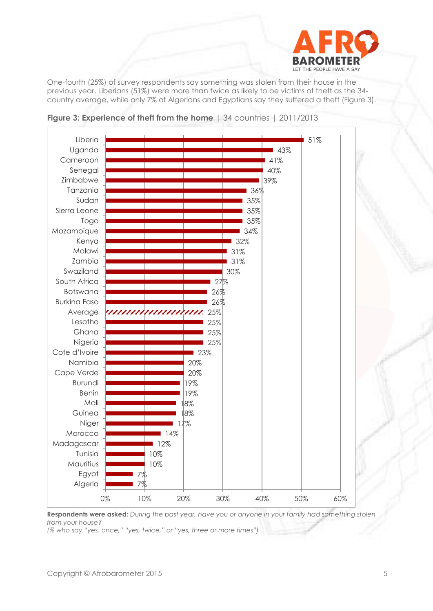

One-fourth (25%) of survey respondents say something was stolen from their house in the previous year. Liberians (51%) were more than twice as likely to be victims of theft as the 34 country average, while only 7% of Algerians and Egyptians say they suffered a theft (Figure 3).





**Respondents were asked:** *During the past year, have you or anyone in your family had something stolen from your house?*

*(% who say "yes, once," "yes, twice," or "yes, three or more times")*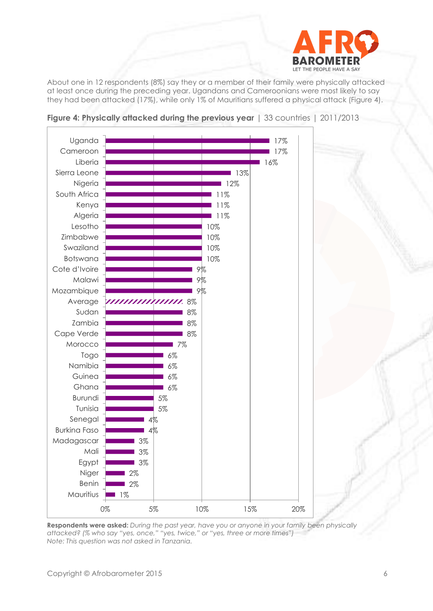

About one in 12 respondents (8%) say they or a member of their family were physically attacked at least once during the preceding year. Ugandans and Cameroonians were most likely to say they had been attacked (17%), while only 1% of Mauritians suffered a physical attack (Figure 4).



**Figure 4: Physically attacked during the previous year** | 33 countries | 2011/2013

**Respondents were asked:** *During the past year, have you or anyone in your family been physically attacked? (% who say "yes, once," "yes, twice," or "yes, three or more times") Note: This question was not asked in Tanzania.*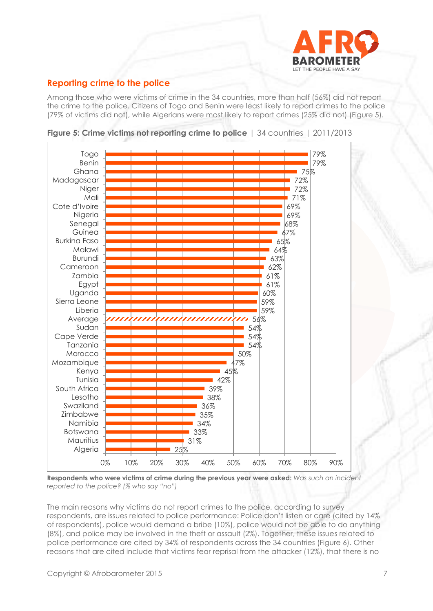

## **Reporting crime to the police**

Among those who were victims of crime in the 34 countries, more than half (56%) did not report the crime to the police. Citizens of Togo and Benin were least likely to report crimes to the police (79% of victims did not), while Algerians were most likely to report crimes (25% did not) (Figure 5).



**Figure 5: Crime victims not reporting crime to police** | 34 countries | 2011/2013

**Respondents who were victims of crime during the previous year were asked:** *Was such an incident reported to the police? (% who say "no")*

The main reasons why victims do not report crimes to the police, according to survey respondents, are issues related to police performance: Police don't listen or care (cited by 14% of respondents), police would demand a bribe (10%), police would not be able to do anything (8%), and police may be involved in the theft or assault (2%). Together, these issues related to police performance are cited by 34% of respondents across the 34 countries (Figure 6). Other reasons that are cited include that victims fear reprisal from the attacker (12%), that there is no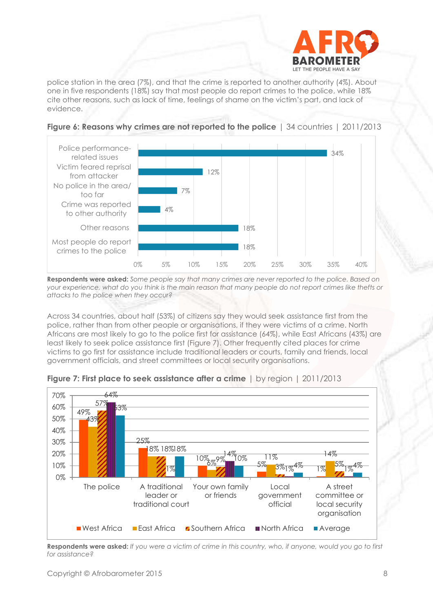

police station in the area (7%), and that the crime is reported to another authority (4%). About one in five respondents (18%) say that most people do report crimes to the police, while 18% cite other reasons, such as lack of time, feelings of shame on the victim's part, and lack of evidence.



#### **Figure 6: Reasons why crimes are not reported to the police** | 34 countries | 2011/2013

**Respondents were asked:** *Some people say that many crimes are never reported to the police. Based on your experience, what do you think is the main reason that many people do not report crimes like thefts or attacks to the police when they occur?*

Across 34 countries, about half (53%) of citizens say they would seek assistance first from the police, rather than from other people or organisations, if they were victims of a crime. North Africans are most likely to go to the police first for assistance (64%), while East Africans (43%) are least likely to seek police assistance first (Figure 7). Other frequently cited places for crime victims to go first for assistance include traditional leaders or courts, family and friends, local government officials, and street committees or local security organisations.



**Figure 7: First place to seek assistance after a crime** | by region | 2011/2013

**Respondents were asked:** *If you were a victim of crime in this country, who, if anyone, would you go to first for assistance?*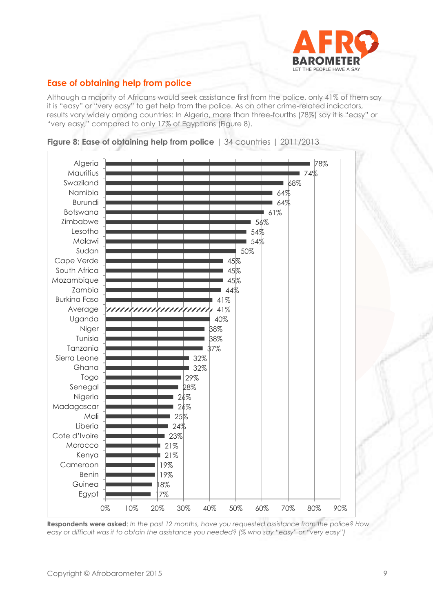

# **Ease of obtaining help from police**

Although a majority of Africans would seek assistance first from the police, only 41% of them say it is "easy" or "very easy" to get help from the police. As on other crime-related indicators, results vary widely among countries: In Algeria, more than three-fourths (78%) say it is "easy" or "very easy," compared to only 17% of Egyptians (Figure 8).





**Respondents were asked**: *In the past 12 months, have you requested assistance from the police? How easy or difficult was it to obtain the assistance you needed? (% who say "easy" or "very easy")*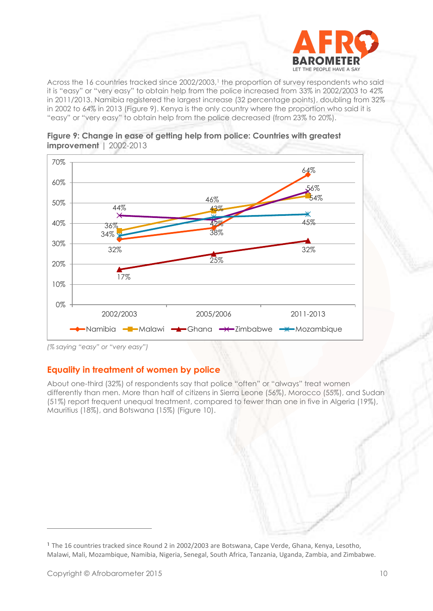

Across the 16 countries tracked since 2002/2003,<sup>1</sup> the proportion of survey respondents who said it is "easy" or "very easy" to obtain help from the police increased from 33% in 2002/2003 to 42% in 2011/2013. Namibia registered the largest increase (32 percentage points), doubling from 32% in 2002 to 64% in 2013 (Figure 9). Kenya is the only country where the proportion who said it is "easy" or "very easy" to obtain help from the police decreased (from 23% to 20%).



**Figure 9: Change in ease of getting help from police: Countries with greatest improvement** | 2002-2013

#### **Equality in treatment of women by police**

About one-third (32%) of respondents say that police "often" or "always" treat women differently than men. More than half of citizens in Sierra Leone (56%), Morocco (55%), and Sudan (51%) report frequent unequal treatment, compared to fewer than one in five in Algeria (19%), Mauritius (18%), and Botswana (15%) (Figure 10).

*<sup>(%</sup> saying "easy" or "very easy")*

**<sup>1</sup>** The 16 countries tracked since Round 2 in 2002/2003 are Botswana, Cape Verde, Ghana, Kenya, Lesotho, Malawi, Mali, Mozambique, Namibia, Nigeria, Senegal, South Africa, Tanzania, Uganda, Zambia, and Zimbabwe.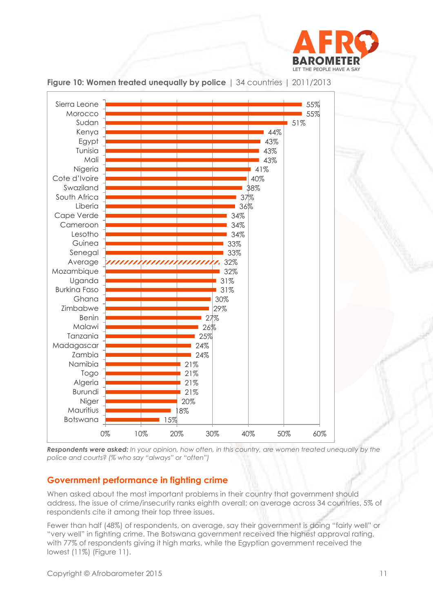



**Figure 10: Women treated unequally by police** | 34 countries | 2011/2013

*Respondents were asked: In your opinion, how often, in this country, are women treated unequally by the police and courts? (% who say "always" or "often")*

#### **Government performance in fighting crime**

When asked about the most important problems in their country that government should address, the issue of crime/insecurity ranks eighth overall; on average across 34 countries, 5% of respondents cite it among their top three issues.

Fewer than half (48%) of respondents, on average, say their government is doing "fairly well" or "very well" in fighting crime. The Botswana government received the highest approval rating, with 77% of respondents giving it high marks, while the Egyptian government received the lowest (11%) (Figure 11).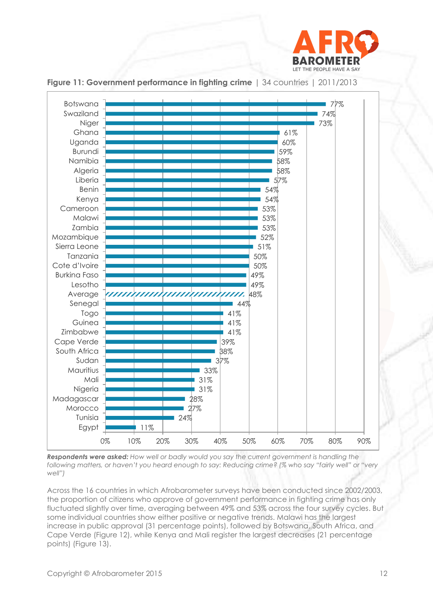



**Figure 11: Government performance in fighting crime** | 34 countries | 2011/2013

*Respondents were asked: How well or badly would you say the current government is handling the following matters, or haven't you heard enough to say: Reducing crime? (% who say "fairly well" or "very well")*

Across the 16 countries in which Afrobarometer surveys have been conducted since 2002/2003, the proportion of citizens who approve of government performance in fighting crime has only fluctuated slightly over time, averaging between 49% and 53% across the four survey cycles. But some individual countries show either positive or negative trends. Malawi has the largest increase in public approval (31 percentage points), followed by Botswana, South Africa, and Cape Verde (Figure 12), while Kenya and Mali register the largest decreases (21 percentage points) (Figure 13).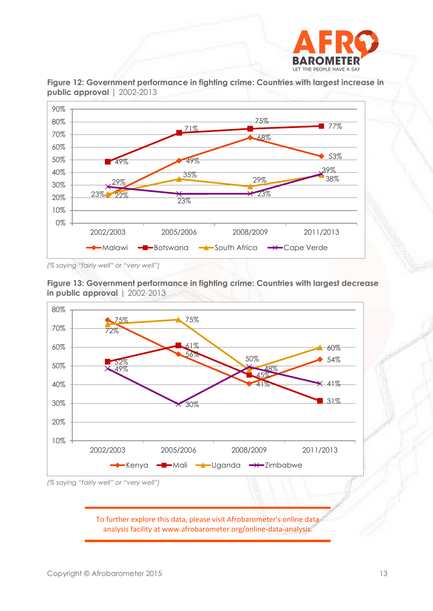



**Figure 12: Government performance in fighting crime: Countries with largest increase in public approval** | 2002-2013

*(% saying "fairly well" or "very well")*





To further explore this data, please visit Afrobarometer's online data analysis facility at www.afrobarometer.org/online-data-analysis.